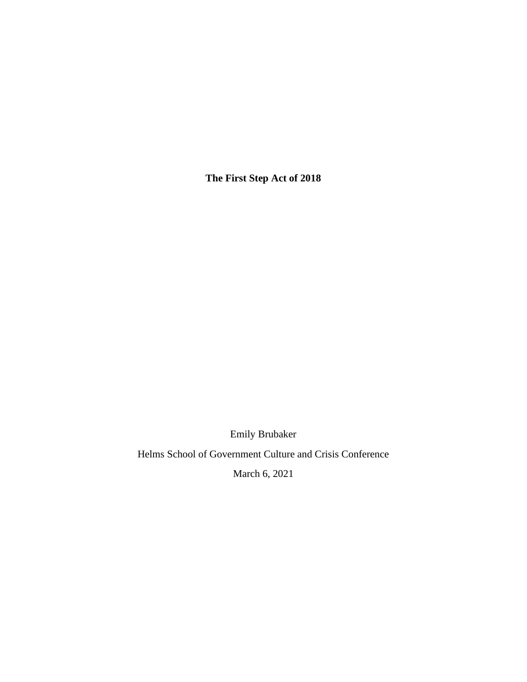**The First Step Act of 2018**

Emily Brubaker

Helms School of Government Culture and Crisis Conference

March 6, 2021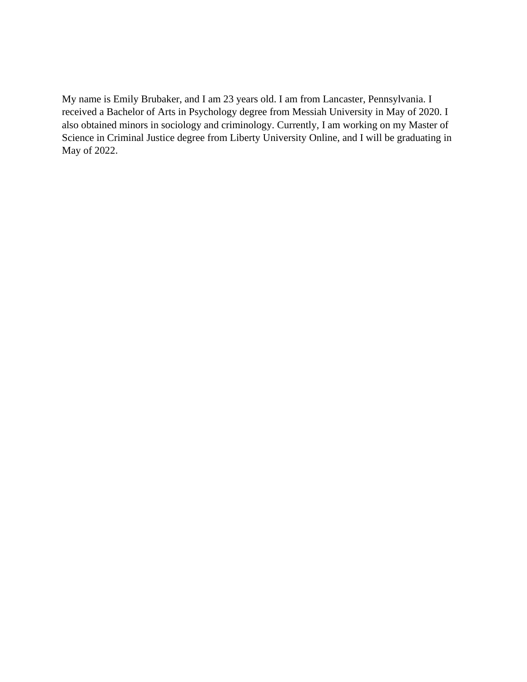My name is Emily Brubaker, and I am 23 years old. I am from Lancaster, Pennsylvania. I received a Bachelor of Arts in Psychology degree from Messiah University in May of 2020. I also obtained minors in sociology and criminology. Currently, I am working on my Master of Science in Criminal Justice degree from Liberty University Online, and I will be graduating in May of 2022.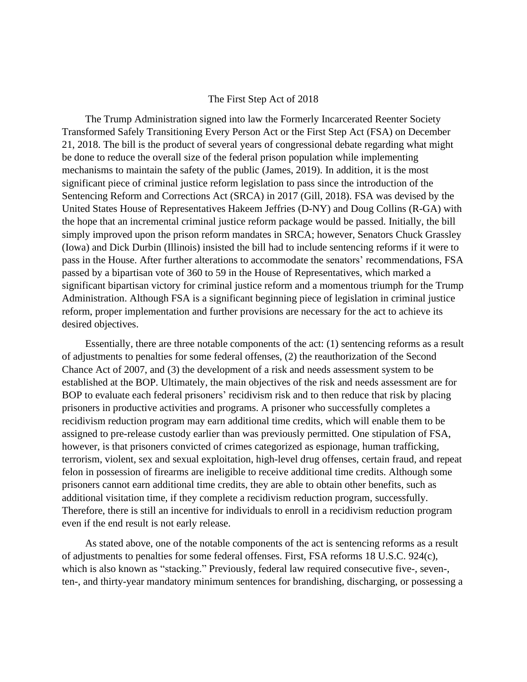## The First Step Act of 2018

The Trump Administration signed into law the Formerly Incarcerated Reenter Society Transformed Safely Transitioning Every Person Act or the First Step Act (FSA) on December 21, 2018. The bill is the product of several years of congressional debate regarding what might be done to reduce the overall size of the federal prison population while implementing mechanisms to maintain the safety of the public (James, 2019). In addition, it is the most significant piece of criminal justice reform legislation to pass since the introduction of the Sentencing Reform and Corrections Act (SRCA) in 2017 (Gill, 2018). FSA was devised by the United States House of Representatives Hakeem Jeffries (D-NY) and Doug Collins (R-GA) with the hope that an incremental criminal justice reform package would be passed. Initially, the bill simply improved upon the prison reform mandates in SRCA; however, Senators Chuck Grassley (Iowa) and Dick Durbin (Illinois) insisted the bill had to include sentencing reforms if it were to pass in the House. After further alterations to accommodate the senators' recommendations, FSA passed by a bipartisan vote of 360 to 59 in the House of Representatives, which marked a significant bipartisan victory for criminal justice reform and a momentous triumph for the Trump Administration. Although FSA is a significant beginning piece of legislation in criminal justice reform, proper implementation and further provisions are necessary for the act to achieve its desired objectives.

Essentially, there are three notable components of the act: (1) sentencing reforms as a result of adjustments to penalties for some federal offenses, (2) the reauthorization of the Second Chance Act of 2007, and (3) the development of a risk and needs assessment system to be established at the BOP. Ultimately, the main objectives of the risk and needs assessment are for BOP to evaluate each federal prisoners' recidivism risk and to then reduce that risk by placing prisoners in productive activities and programs. A prisoner who successfully completes a recidivism reduction program may earn additional time credits, which will enable them to be assigned to pre-release custody earlier than was previously permitted. One stipulation of FSA, however, is that prisoners convicted of crimes categorized as espionage, human trafficking, terrorism, violent, sex and sexual exploitation, high-level drug offenses, certain fraud, and repeat felon in possession of firearms are ineligible to receive additional time credits. Although some prisoners cannot earn additional time credits, they are able to obtain other benefits, such as additional visitation time, if they complete a recidivism reduction program, successfully. Therefore, there is still an incentive for individuals to enroll in a recidivism reduction program even if the end result is not early release.

As stated above, one of the notable components of the act is sentencing reforms as a result of adjustments to penalties for some federal offenses. First, FSA reforms 18 U.S.C. 924(c), which is also known as "stacking." Previously, federal law required consecutive five-, seven-, ten-, and thirty-year mandatory minimum sentences for brandishing, discharging, or possessing a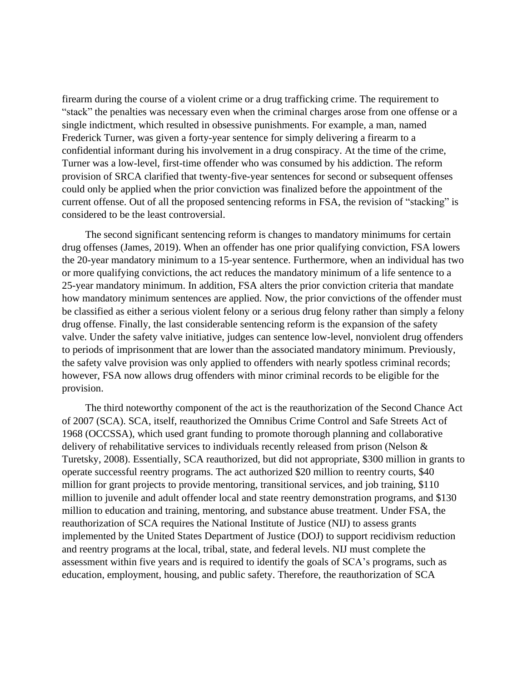firearm during the course of a violent crime or a drug trafficking crime. The requirement to "stack" the penalties was necessary even when the criminal charges arose from one offense or a single indictment, which resulted in obsessive punishments. For example, a man, named Frederick Turner, was given a forty-year sentence for simply delivering a firearm to a confidential informant during his involvement in a drug conspiracy. At the time of the crime, Turner was a low-level, first-time offender who was consumed by his addiction. The reform provision of SRCA clarified that twenty-five-year sentences for second or subsequent offenses could only be applied when the prior conviction was finalized before the appointment of the current offense. Out of all the proposed sentencing reforms in FSA, the revision of "stacking" is considered to be the least controversial.

The second significant sentencing reform is changes to mandatory minimums for certain drug offenses (James, 2019). When an offender has one prior qualifying conviction, FSA lowers the 20-year mandatory minimum to a 15-year sentence. Furthermore, when an individual has two or more qualifying convictions, the act reduces the mandatory minimum of a life sentence to a 25-year mandatory minimum. In addition, FSA alters the prior conviction criteria that mandate how mandatory minimum sentences are applied. Now, the prior convictions of the offender must be classified as either a serious violent felony or a serious drug felony rather than simply a felony drug offense. Finally, the last considerable sentencing reform is the expansion of the safety valve. Under the safety valve initiative, judges can sentence low-level, nonviolent drug offenders to periods of imprisonment that are lower than the associated mandatory minimum. Previously, the safety valve provision was only applied to offenders with nearly spotless criminal records; however, FSA now allows drug offenders with minor criminal records to be eligible for the provision.

The third noteworthy component of the act is the reauthorization of the Second Chance Act of 2007 (SCA). SCA, itself, reauthorized the Omnibus Crime Control and Safe Streets Act of 1968 (OCCSSA), which used grant funding to promote thorough planning and collaborative delivery of rehabilitative services to individuals recently released from prison (Nelson & Turetsky, 2008). Essentially, SCA reauthorized, but did not appropriate, \$300 million in grants to operate successful reentry programs. The act authorized \$20 million to reentry courts, \$40 million for grant projects to provide mentoring, transitional services, and job training, \$110 million to juvenile and adult offender local and state reentry demonstration programs, and \$130 million to education and training, mentoring, and substance abuse treatment. Under FSA, the reauthorization of SCA requires the National Institute of Justice (NIJ) to assess grants implemented by the United States Department of Justice (DOJ) to support recidivism reduction and reentry programs at the local, tribal, state, and federal levels. NIJ must complete the assessment within five years and is required to identify the goals of SCA's programs, such as education, employment, housing, and public safety. Therefore, the reauthorization of SCA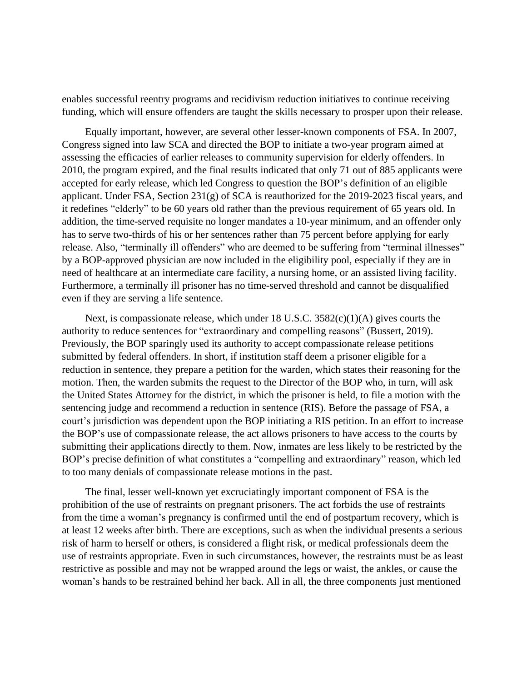enables successful reentry programs and recidivism reduction initiatives to continue receiving funding, which will ensure offenders are taught the skills necessary to prosper upon their release.

Equally important, however, are several other lesser-known components of FSA. In 2007, Congress signed into law SCA and directed the BOP to initiate a two-year program aimed at assessing the efficacies of earlier releases to community supervision for elderly offenders. In 2010, the program expired, and the final results indicated that only 71 out of 885 applicants were accepted for early release, which led Congress to question the BOP's definition of an eligible applicant. Under FSA, Section 231(g) of SCA is reauthorized for the 2019-2023 fiscal years, and it redefines "elderly" to be 60 years old rather than the previous requirement of 65 years old. In addition, the time-served requisite no longer mandates a 10-year minimum, and an offender only has to serve two-thirds of his or her sentences rather than 75 percent before applying for early release. Also, "terminally ill offenders" who are deemed to be suffering from "terminal illnesses" by a BOP-approved physician are now included in the eligibility pool, especially if they are in need of healthcare at an intermediate care facility, a nursing home, or an assisted living facility. Furthermore, a terminally ill prisoner has no time-served threshold and cannot be disqualified even if they are serving a life sentence.

Next, is compassionate release, which under 18 U.S.C. 3582(c)(1)(A) gives courts the authority to reduce sentences for "extraordinary and compelling reasons" (Bussert, 2019). Previously, the BOP sparingly used its authority to accept compassionate release petitions submitted by federal offenders. In short, if institution staff deem a prisoner eligible for a reduction in sentence, they prepare a petition for the warden, which states their reasoning for the motion. Then, the warden submits the request to the Director of the BOP who, in turn, will ask the United States Attorney for the district, in which the prisoner is held, to file a motion with the sentencing judge and recommend a reduction in sentence (RIS). Before the passage of FSA, a court's jurisdiction was dependent upon the BOP initiating a RIS petition. In an effort to increase the BOP's use of compassionate release, the act allows prisoners to have access to the courts by submitting their applications directly to them. Now, inmates are less likely to be restricted by the BOP's precise definition of what constitutes a "compelling and extraordinary" reason, which led to too many denials of compassionate release motions in the past.

The final, lesser well-known yet excruciatingly important component of FSA is the prohibition of the use of restraints on pregnant prisoners. The act forbids the use of restraints from the time a woman's pregnancy is confirmed until the end of postpartum recovery, which is at least 12 weeks after birth. There are exceptions, such as when the individual presents a serious risk of harm to herself or others, is considered a flight risk, or medical professionals deem the use of restraints appropriate. Even in such circumstances, however, the restraints must be as least restrictive as possible and may not be wrapped around the legs or waist, the ankles, or cause the woman's hands to be restrained behind her back. All in all, the three components just mentioned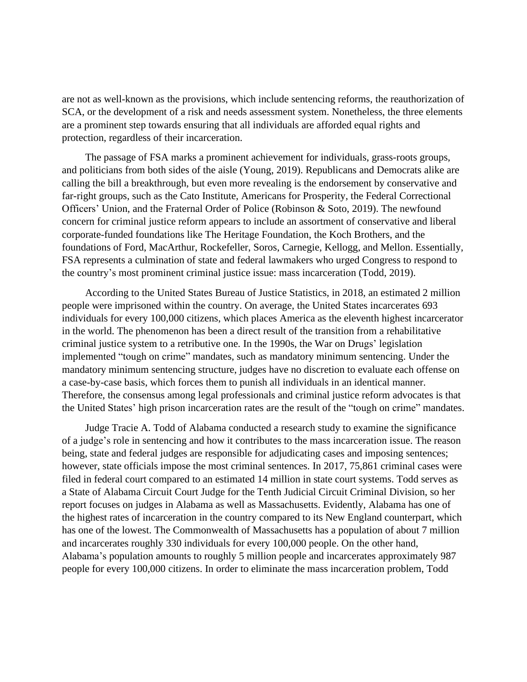are not as well-known as the provisions, which include sentencing reforms, the reauthorization of SCA, or the development of a risk and needs assessment system. Nonetheless, the three elements are a prominent step towards ensuring that all individuals are afforded equal rights and protection, regardless of their incarceration.

The passage of FSA marks a prominent achievement for individuals, grass-roots groups, and politicians from both sides of the aisle (Young, 2019). Republicans and Democrats alike are calling the bill a breakthrough, but even more revealing is the endorsement by conservative and far-right groups, such as the Cato Institute, Americans for Prosperity, the Federal Correctional Officers' Union, and the Fraternal Order of Police (Robinson & Soto, 2019). The newfound concern for criminal justice reform appears to include an assortment of conservative and liberal corporate-funded foundations like The Heritage Foundation, the Koch Brothers, and the foundations of Ford, MacArthur, Rockefeller, Soros, Carnegie, Kellogg, and Mellon. Essentially, FSA represents a culmination of state and federal lawmakers who urged Congress to respond to the country's most prominent criminal justice issue: mass incarceration (Todd, 2019).

According to the United States Bureau of Justice Statistics, in 2018, an estimated 2 million people were imprisoned within the country. On average, the United States incarcerates 693 individuals for every 100,000 citizens, which places America as the eleventh highest incarcerator in the world. The phenomenon has been a direct result of the transition from a rehabilitative criminal justice system to a retributive one. In the 1990s, the War on Drugs' legislation implemented "tough on crime" mandates, such as mandatory minimum sentencing. Under the mandatory minimum sentencing structure, judges have no discretion to evaluate each offense on a case-by-case basis, which forces them to punish all individuals in an identical manner. Therefore, the consensus among legal professionals and criminal justice reform advocates is that the United States' high prison incarceration rates are the result of the "tough on crime" mandates.

Judge Tracie A. Todd of Alabama conducted a research study to examine the significance of a judge's role in sentencing and how it contributes to the mass incarceration issue. The reason being, state and federal judges are responsible for adjudicating cases and imposing sentences; however, state officials impose the most criminal sentences. In 2017, 75,861 criminal cases were filed in federal court compared to an estimated 14 million in state court systems. Todd serves as a State of Alabama Circuit Court Judge for the Tenth Judicial Circuit Criminal Division, so her report focuses on judges in Alabama as well as Massachusetts. Evidently, Alabama has one of the highest rates of incarceration in the country compared to its New England counterpart, which has one of the lowest. The Commonwealth of Massachusetts has a population of about 7 million and incarcerates roughly 330 individuals for every 100,000 people. On the other hand, Alabama's population amounts to roughly 5 million people and incarcerates approximately 987 people for every 100,000 citizens. In order to eliminate the mass incarceration problem, Todd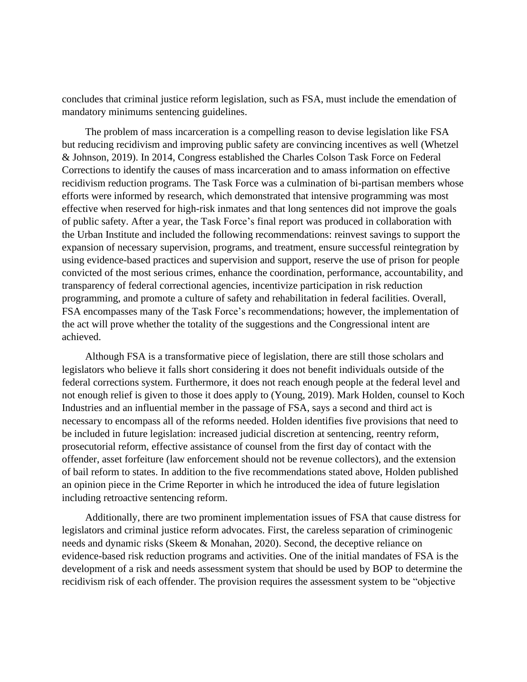concludes that criminal justice reform legislation, such as FSA, must include the emendation of mandatory minimums sentencing guidelines.

The problem of mass incarceration is a compelling reason to devise legislation like FSA but reducing recidivism and improving public safety are convincing incentives as well (Whetzel & Johnson, 2019). In 2014, Congress established the Charles Colson Task Force on Federal Corrections to identify the causes of mass incarceration and to amass information on effective recidivism reduction programs. The Task Force was a culmination of bi-partisan members whose efforts were informed by research, which demonstrated that intensive programming was most effective when reserved for high-risk inmates and that long sentences did not improve the goals of public safety. After a year, the Task Force's final report was produced in collaboration with the Urban Institute and included the following recommendations: reinvest savings to support the expansion of necessary supervision, programs, and treatment, ensure successful reintegration by using evidence-based practices and supervision and support, reserve the use of prison for people convicted of the most serious crimes, enhance the coordination, performance, accountability, and transparency of federal correctional agencies, incentivize participation in risk reduction programming, and promote a culture of safety and rehabilitation in federal facilities. Overall, FSA encompasses many of the Task Force's recommendations; however, the implementation of the act will prove whether the totality of the suggestions and the Congressional intent are achieved.

Although FSA is a transformative piece of legislation, there are still those scholars and legislators who believe it falls short considering it does not benefit individuals outside of the federal corrections system. Furthermore, it does not reach enough people at the federal level and not enough relief is given to those it does apply to (Young, 2019). Mark Holden, counsel to Koch Industries and an influential member in the passage of FSA, says a second and third act is necessary to encompass all of the reforms needed. Holden identifies five provisions that need to be included in future legislation: increased judicial discretion at sentencing, reentry reform, prosecutorial reform, effective assistance of counsel from the first day of contact with the offender, asset forfeiture (law enforcement should not be revenue collectors), and the extension of bail reform to states. In addition to the five recommendations stated above, Holden published an opinion piece in the Crime Reporter in which he introduced the idea of future legislation including retroactive sentencing reform.

Additionally, there are two prominent implementation issues of FSA that cause distress for legislators and criminal justice reform advocates. First, the careless separation of criminogenic needs and dynamic risks (Skeem & Monahan, 2020). Second, the deceptive reliance on evidence-based risk reduction programs and activities. One of the initial mandates of FSA is the development of a risk and needs assessment system that should be used by BOP to determine the recidivism risk of each offender. The provision requires the assessment system to be "objective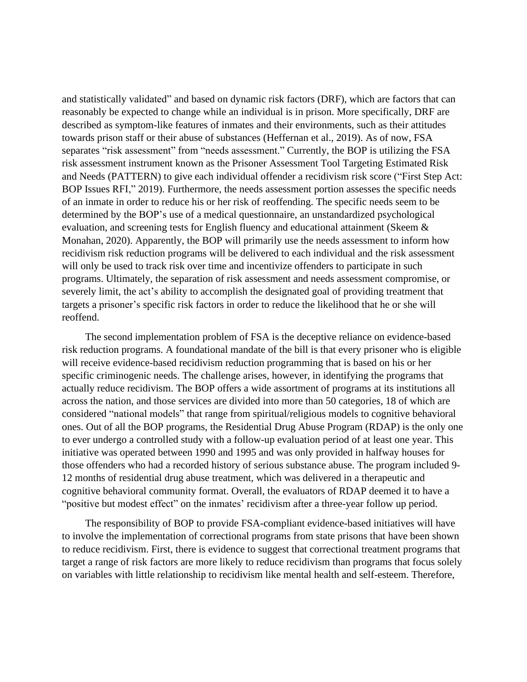and statistically validated" and based on dynamic risk factors (DRF), which are factors that can reasonably be expected to change while an individual is in prison. More specifically, DRF are described as symptom-like features of inmates and their environments, such as their attitudes towards prison staff or their abuse of substances (Heffernan et al., 2019). As of now, FSA separates "risk assessment" from "needs assessment." Currently, the BOP is utilizing the FSA risk assessment instrument known as the Prisoner Assessment Tool Targeting Estimated Risk and Needs (PATTERN) to give each individual offender a recidivism risk score ("First Step Act: BOP Issues RFI," 2019). Furthermore, the needs assessment portion assesses the specific needs of an inmate in order to reduce his or her risk of reoffending. The specific needs seem to be determined by the BOP's use of a medical questionnaire, an unstandardized psychological evaluation, and screening tests for English fluency and educational attainment (Skeem & Monahan, 2020). Apparently, the BOP will primarily use the needs assessment to inform how recidivism risk reduction programs will be delivered to each individual and the risk assessment will only be used to track risk over time and incentivize offenders to participate in such programs. Ultimately, the separation of risk assessment and needs assessment compromise, or severely limit, the act's ability to accomplish the designated goal of providing treatment that targets a prisoner's specific risk factors in order to reduce the likelihood that he or she will reoffend.

The second implementation problem of FSA is the deceptive reliance on evidence-based risk reduction programs. A foundational mandate of the bill is that every prisoner who is eligible will receive evidence-based recidivism reduction programming that is based on his or her specific criminogenic needs. The challenge arises, however, in identifying the programs that actually reduce recidivism. The BOP offers a wide assortment of programs at its institutions all across the nation, and those services are divided into more than 50 categories, 18 of which are considered "national models" that range from spiritual/religious models to cognitive behavioral ones. Out of all the BOP programs, the Residential Drug Abuse Program (RDAP) is the only one to ever undergo a controlled study with a follow-up evaluation period of at least one year. This initiative was operated between 1990 and 1995 and was only provided in halfway houses for those offenders who had a recorded history of serious substance abuse. The program included 9- 12 months of residential drug abuse treatment, which was delivered in a therapeutic and cognitive behavioral community format. Overall, the evaluators of RDAP deemed it to have a "positive but modest effect" on the inmates' recidivism after a three-year follow up period.

The responsibility of BOP to provide FSA-compliant evidence-based initiatives will have to involve the implementation of correctional programs from state prisons that have been shown to reduce recidivism. First, there is evidence to suggest that correctional treatment programs that target a range of risk factors are more likely to reduce recidivism than programs that focus solely on variables with little relationship to recidivism like mental health and self-esteem. Therefore,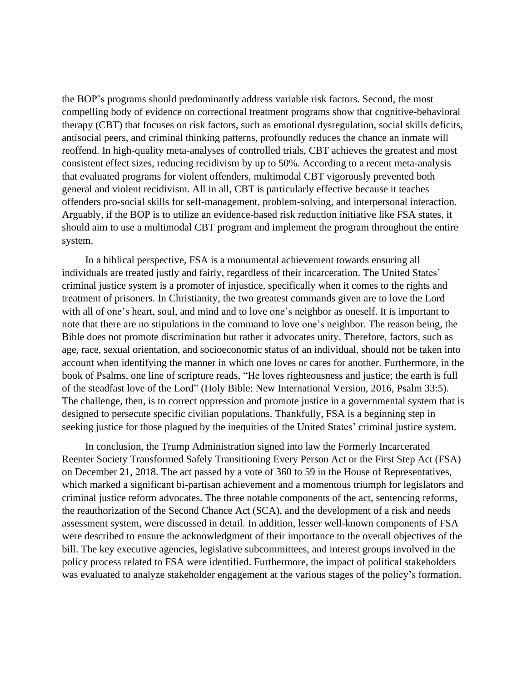the BOP's programs should predominantly address variable risk factors. Second, the most compelling body of evidence on correctional treatment programs show that cognitive-behavioral therapy (CBT) that focuses on risk factors, such as emotional dysregulation, social skills deficits, antisocial peers, and criminal thinking patterns, profoundly reduces the chance an inmate will reoffend. In high-quality meta-analyses of controlled trials, CBT achieves the greatest and most consistent effect sizes, reducing recidivism by up to 50%. According to a recent meta-analysis that evaluated programs for violent offenders, multimodal CBT vigorously prevented both general and violent recidivism. All in all, CBT is particularly effective because it teaches offenders pro-social skills for self-management, problem-solving, and interpersonal interaction. Arguably, if the BOP is to utilize an evidence-based risk reduction initiative like FSA states, it should aim to use a multimodal CBT program and implement the program throughout the entire system.

In a biblical perspective, FSA is a monumental achievement towards ensuring all individuals are treated justly and fairly, regardless of their incarceration. The United States' criminal justice system is a promoter of injustice, specifically when it comes to the rights and treatment of prisoners. In Christianity, the two greatest commands given are to love the Lord with all of one's heart, soul, and mind and to love one's neighbor as oneself. It is important to note that there are no stipulations in the command to love one's neighbor. The reason being, the Bible does not promote discrimination but rather it advocates unity. Therefore, factors, such as age, race, sexual orientation, and socioeconomic status of an individual, should not be taken into account when identifying the manner in which one loves or cares for another. Furthermore, in the book of Psalms, one line of scripture reads, "He loves righteousness and justice; the earth is full of the steadfast love of the Lord" (Holy Bible: New International Version, 2016, Psalm 33:5). The challenge, then, is to correct oppression and promote justice in a governmental system that is designed to persecute specific civilian populations. Thankfully, FSA is a beginning step in seeking justice for those plagued by the inequities of the United States' criminal justice system.

In conclusion, the Trump Administration signed into law the Formerly Incarcerated Reenter Society Transformed Safely Transitioning Every Person Act or the First Step Act (FSA) on December 21, 2018. The act passed by a vote of 360 to 59 in the House of Representatives, which marked a significant bi-partisan achievement and a momentous triumph for legislators and criminal justice reform advocates. The three notable components of the act, sentencing reforms, the reauthorization of the Second Chance Act (SCA), and the development of a risk and needs assessment system, were discussed in detail. In addition, lesser well-known components of FSA were described to ensure the acknowledgment of their importance to the overall objectives of the bill. The key executive agencies, legislative subcommittees, and interest groups involved in the policy process related to FSA were identified. Furthermore, the impact of political stakeholders was evaluated to analyze stakeholder engagement at the various stages of the policy's formation.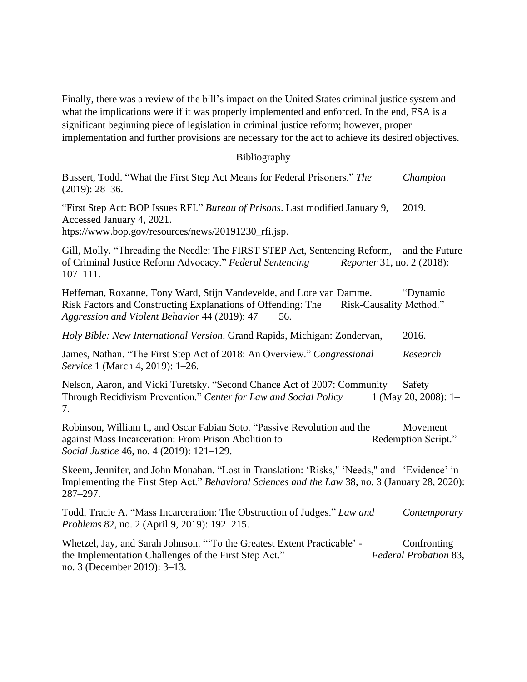Finally, there was a review of the bill's impact on the United States criminal justice system and what the implications were if it was properly implemented and enforced. In the end, FSA is a significant beginning piece of legislation in criminal justice reform; however, proper implementation and further provisions are necessary for the act to achieve its desired objectives.

## Bibliography

Bussert, Todd. "What the First Step Act Means for Federal Prisoners." *The Champion* (2019): 28–36.

"First Step Act: BOP Issues RFI." *Bureau of Prisons*. Last modified January 9, 2019. Accessed January 4, 2021.

[htps://www.bop.gov/resources/news/20191230\\_rfi.jsp.](https://www.bop.gov/resources/news/20191230_rfi.jsp)

Gill, Molly. "Threading the Needle: The FIRST STEP Act, Sentencing Reform, and the Future of Criminal Justice Reform Advocacy." *Federal Sentencing Reporter* 31, no. 2 (2018): 107–111.

Heffernan, Roxanne, Tony Ward, Stijn Vandevelde, and Lore van Damme. "Dynamic Risk Factors and Constructing Explanations of Offending: The Risk-Causality Method." *Aggression and Violent Behavior* 44 (2019): 47– 56.

*Holy Bible: New International Version*. Grand Rapids, Michigan: Zondervan, 2016.

James, Nathan. "The First Step Act of 2018: An Overview." *Congressional Research Service* 1 (March 4, 2019): 1–26.

Nelson, Aaron, and Vicki Turetsky. "Second Chance Act of 2007: Community Safety Through Recidivism Prevention." *Center for Law and Social Policy* 1 (May 20, 2008): 1– 7.

Robinson, William I., and Oscar Fabian Soto. "Passive Revolution and the Movement against Mass Incarceration: From Prison Abolition to Redemption Script." *Social Justice* 46, no. 4 (2019): 121–129.

Skeem, Jennifer, and John Monahan. "Lost in Translation: 'Risks," 'Needs," and 'Evidence' in Implementing the First Step Act." *Behavioral Sciences and the Law* 38, no. 3 (January 28, 2020): 287–297.

Todd, Tracie A. "Mass Incarceration: The Obstruction of Judges." *Law and Contemporary Problems* 82, no. 2 (April 9, 2019): 192–215.

Whetzel, Jay, and Sarah Johnson. "'To the Greatest Extent Practicable' - Confronting the Implementation Challenges of the First Step Act." *Federal Probation* 83, no. 3 (December 2019): 3–13.